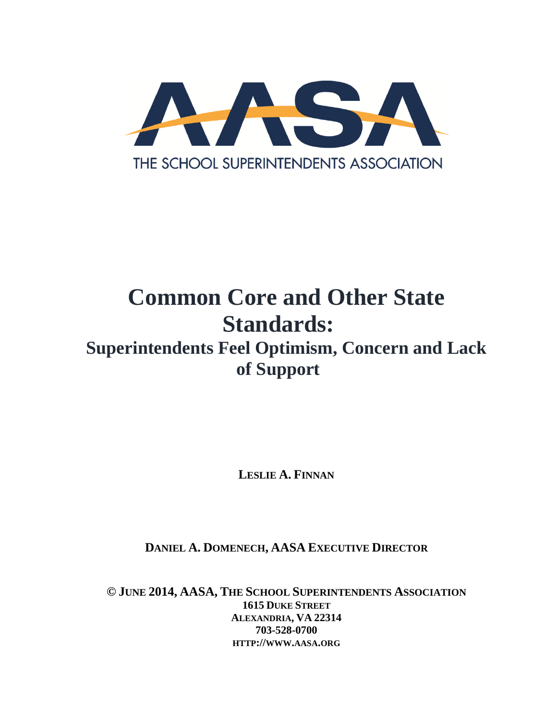

# **Common Core and Other State Standards:**

# **Superintendents Feel Optimism, Concern and Lack of Support**

**LESLIE A. FINNAN**

**DANIEL A. DOMENECH, AASA EXECUTIVE DIRECTOR**

**© JUNE 2014, AASA, THE SCHOOL SUPERINTENDENTS ASSOCIATION 1615 DUKE STREET ALEXANDRIA, VA 22314 703-528-0700 HTTP://WWW.AASA.ORG**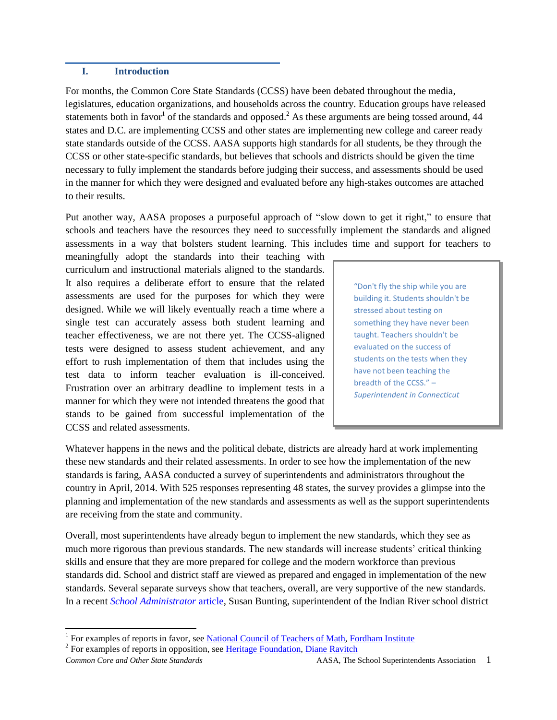#### **I. Introduction**

For months, the Common Core State Standards (CCSS) have been debated throughout the media, legislatures, education organizations, and households across the country. Education groups have released statements both in favor<sup>1</sup> of the standards and opposed.<sup>2</sup> As these arguments are being tossed around, 44 states and D.C. are implementing CCSS and other states are implementing new college and career ready state standards outside of the CCSS. AASA supports high standards for all students, be they through the CCSS or other state-specific standards, but believes that schools and districts should be given the time necessary to fully implement the standards before judging their success, and assessments should be used in the manner for which they were designed and evaluated before any high-stakes outcomes are attached to their results.

Put another way, AASA proposes a purposeful approach of "slow down to get it right," to ensure that schools and teachers have the resources they need to successfully implement the standards and aligned assessments in a way that bolsters student learning. This includes time and support for teachers to

meaningfully adopt the standards into their teaching with curriculum and instructional materials aligned to the standards. It also requires a deliberate effort to ensure that the related assessments are used for the purposes for which they were designed. While we will likely eventually reach a time where a single test can accurately assess both student learning and teacher effectiveness, we are not there yet. The CCSS-aligned tests were designed to assess student achievement, and any effort to rush implementation of them that includes using the test data to inform teacher evaluation is ill-conceived. Frustration over an arbitrary deadline to implement tests in a manner for which they were not intended threatens the good that stands to be gained from successful implementation of the CCSS and related assessments.

"Don't fly the ship while you are building it. Students shouldn't be stressed about testing on something they have never been taught. Teachers shouldn't be evaluated on the success of students on the tests when they have not been teaching the breadth of the CCSS." – *Superintendent in Connecticut*

Whatever happens in the news and the political debate, districts are already hard at work implementing these new standards and their related assessments. In order to see how the implementation of the new standards is faring, AASA conducted a survey of superintendents and administrators throughout the country in April, 2014. With 525 responses representing 48 states, the survey provides a glimpse into the planning and implementation of the new standards and assessments as well as the support superintendents are receiving from the state and community.

Overall, most superintendents have already begun to implement the new standards, which they see as much more rigorous than previous standards. The new standards will increase students' critical thinking skills and ensure that they are more prepared for college and the modern workforce than previous standards did. School and district staff are viewed as prepared and engaged in implementation of the new standards. Several separate surveys show that teachers, overall, are very supportive of the new standards. In a recent *School Administrator* article, Susan Bunting, superintendent of the Indian River school district

<sup>&</sup>lt;sup>1</sup> For examples of reports in favor, see <u>National Council of Teachers of Math, Fordham Institute</u>

<sup>&</sup>lt;sup>2</sup> For examples of reports in opposition, see Heritage Foundation, Diane Ravitch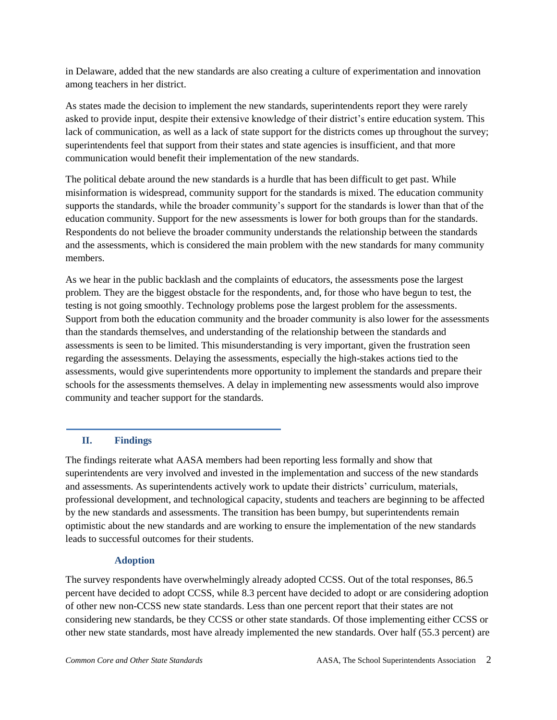in Delaware, added that the new standards are also creating a culture of experimentation and innovation among teachers in her district.

As states made the decision to implement the new standards, superintendents report they were rarely asked to provide input, despite their extensive knowledge of their district's entire education system. This lack of communication, as well as a lack of state support for the districts comes up throughout the survey; superintendents feel that support from their states and state agencies is insufficient, and that more communication would benefit their implementation of the new standards.

The political debate around the new standards is a hurdle that has been difficult to get past. While misinformation is widespread, community support for the standards is mixed. The education community supports the standards, while the broader community's support for the standards is lower than that of the education community. Support for the new assessments is lower for both groups than for the standards. Respondents do not believe the broader community understands the relationship between the standards and the assessments, which is considered the main problem with the new standards for many community members.

As we hear in the public backlash and the complaints of educators, the assessments pose the largest problem. They are the biggest obstacle for the respondents, and, for those who have begun to test, the testing is not going smoothly. Technology problems pose the largest problem for the assessments. Support from both the education community and the broader community is also lower for the assessments than the standards themselves, and understanding of the relationship between the standards and assessments is seen to be limited. This misunderstanding is very important, given the frustration seen regarding the assessments. Delaying the assessments, especially the high-stakes actions tied to the assessments, would give superintendents more opportunity to implement the standards and prepare their schools for the assessments themselves. A delay in implementing new assessments would also improve community and teacher support for the standards.

## **II. Findings**

The findings reiterate what AASA members had been reporting less formally and show that superintendents are very involved and invested in the implementation and success of the new standards and assessments. As superintendents actively work to update their districts' curriculum, materials, professional development, and technological capacity, students and teachers are beginning to be affected by the new standards and assessments. The transition has been bumpy, but superintendents remain optimistic about the new standards and are working to ensure the implementation of the new standards leads to successful outcomes for their students.

## **Adoption**

The survey respondents have overwhelmingly already adopted CCSS. Out of the total responses, 86.5 percent have decided to adopt CCSS, while 8.3 percent have decided to adopt or are considering adoption of other new non-CCSS new state standards. Less than one percent report that their states are not considering new standards, be they CCSS or other state standards. Of those implementing either CCSS or other new state standards, most have already implemented the new standards. Over half (55.3 percent) are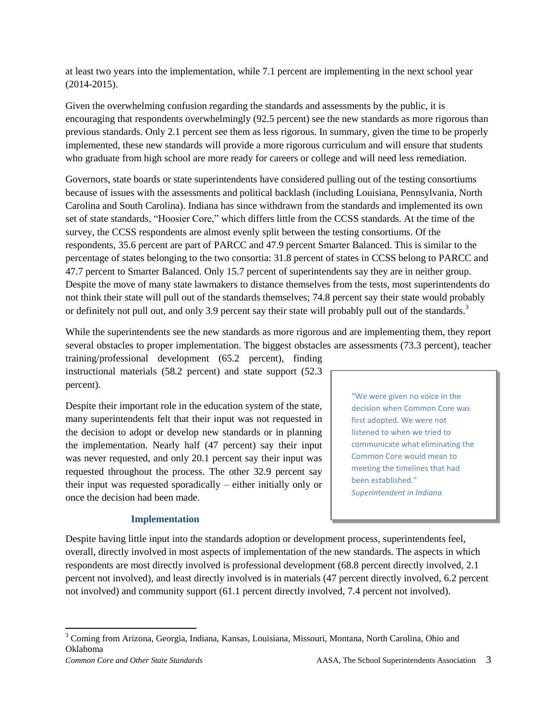at least two years into the implementation, while 7.1 percent are implementing in the next school year (2014-2015).

Given the overwhelming confusion regarding the standards and assessments by the public, it is encouraging that respondents overwhelmingly (92.5 percent) see the new standards as more rigorous than previous standards. Only 2.1 percent see them as less rigorous. In summary, given the time to be properly implemented, these new standards will provide a more rigorous curriculum and will ensure that students who graduate from high school are more ready for careers or college and will need less remediation.

Governors, state boards or state superintendents have considered pulling out of the testing consortiums because of issues with the assessments and political backlash (including Louisiana, Pennsylvania, North Carolina and South Carolina). Indiana has since withdrawn from the standards and implemented its own set of state standards, "Hoosier Core," which differs little from the CCSS standards. At the time of the survey, the CCSS respondents are almost evenly split between the testing consortiums. Of the respondents, 35.6 percent are part of PARCC and 47.9 percent Smarter Balanced. This is similar to the percentage of states belonging to the two consortia: 31.8 percent of states in CCSS belong to PARCC and 47.7 percent to Smarter Balanced. Only 15.7 percent of superintendents say they are in neither group. Despite the move of many state lawmakers to distance themselves from the tests, most superintendents do not think their state will pull out of the standards themselves; 74.8 percent say their state would probably or definitely not pull out, and only 3.9 percent say their state will probably pull out of the standards.<sup>3</sup>

While the superintendents see the new standards as more rigorous and are implementing them, they report several obstacles to proper implementation. The biggest obstacles are assessments (73.3 percent), teacher

training/professional development (65.2 percent), finding instructional materials (58.2 percent) and state support (52.3 percent).

Despite their important role in the education system of the state, many superintendents felt that their input was not requested in the decision to adopt or develop new standards or in planning the implementation. Nearly half (47 percent) say their input was never requested, and only 20.1 percent say their input was requested throughout the process. The other 32.9 percent say their input was requested sporadically – either initially only or once the decision had been made.

## **Implementation**

"We were given no voice in the decision when Common Core was first adopted. We were not listened to when we tried to communicate what eliminating the Common Core would mean to meeting the timelines that had been established." *Superintendent in Indiana*

Despite having little input into the standards adoption or development process, superintendents feel, overall, directly involved in most aspects of implementation of the new standards. The aspects in which respondents are most directly involved is professional development (68.8 percent directly involved, 2.1 percent not involved), and least directly involved is in materials (47 percent directly involved, 6.2 percent not involved) and community support (61.1 percent directly involved, 7.4 percent not involved).

 $\overline{\phantom{a}}$ 

<sup>3</sup> Coming from Arizona, Georgia, Indiana, Kansas, Louisiana, Missouri, Montana, North Carolina, Ohio and Oklahoma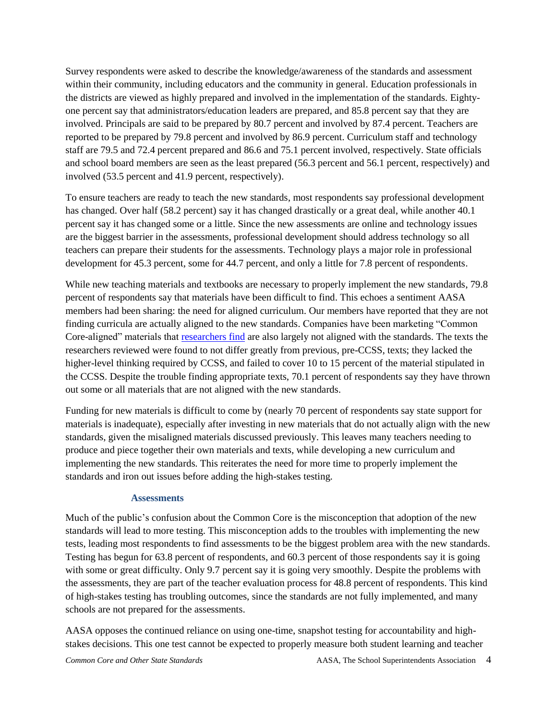Survey respondents were asked to describe the knowledge/awareness of the standards and assessment within their community, including educators and the community in general. Education professionals in the districts are viewed as highly prepared and involved in the implementation of the standards. Eightyone percent say that administrators/education leaders are prepared, and 85.8 percent say that they are involved. Principals are said to be prepared by 80.7 percent and involved by 87.4 percent. Teachers are reported to be prepared by 79.8 percent and involved by 86.9 percent. Curriculum staff and technology staff are 79.5 and 72.4 percent prepared and 86.6 and 75.1 percent involved, respectively. State officials and school board members are seen as the least prepared (56.3 percent and 56.1 percent, respectively) and involved (53.5 percent and 41.9 percent, respectively).

To ensure teachers are ready to teach the new standards, most respondents say professional development has changed. Over half (58.2 percent) say it has changed drastically or a great deal, while another 40.1 percent say it has changed some or a little. Since the new assessments are online and technology issues are the biggest barrier in the assessments, professional development should address technology so all teachers can prepare their students for the assessments. Technology plays a major role in professional development for 45.3 percent, some for 44.7 percent, and only a little for 7.8 percent of respondents.

While new teaching materials and textbooks are necessary to properly implement the new standards, 79.8 percent of respondents say that materials have been difficult to find. This echoes a sentiment AASA members had been sharing: the need for aligned curriculum. Our members have reported that they are not finding curricula are actually aligned to the new standards. Companies have been marketing "Common Core-aligned" materials that researchers find are also largely not aligned with the standards. The texts the researchers reviewed were found to not differ greatly from previous, pre-CCSS, texts; they lacked the higher-level thinking required by CCSS, and failed to cover 10 to 15 percent of the material stipulated in the CCSS. Despite the trouble finding appropriate texts, 70.1 percent of respondents say they have thrown out some or all materials that are not aligned with the new standards.

Funding for new materials is difficult to come by (nearly 70 percent of respondents say state support for materials is inadequate), especially after investing in new materials that do not actually align with the new standards, given the misaligned materials discussed previously. This leaves many teachers needing to produce and piece together their own materials and texts, while developing a new curriculum and implementing the new standards. This reiterates the need for more time to properly implement the standards and iron out issues before adding the high-stakes testing.

#### **Assessments**

Much of the public's confusion about the Common Core is the misconception that adoption of the new standards will lead to more testing. This misconception adds to the troubles with implementing the new tests, leading most respondents to find assessments to be the biggest problem area with the new standards. Testing has begun for 63.8 percent of respondents, and 60.3 percent of those respondents say it is going with some or great difficulty. Only 9.7 percent say it is going very smoothly. Despite the problems with the assessments, they are part of the teacher evaluation process for 48.8 percent of respondents. This kind of high-stakes testing has troubling outcomes, since the standards are not fully implemented, and many schools are not prepared for the assessments.

AASA opposes the continued reliance on using one-time, snapshot testing for accountability and highstakes decisions. This one test cannot be expected to properly measure both student learning and teacher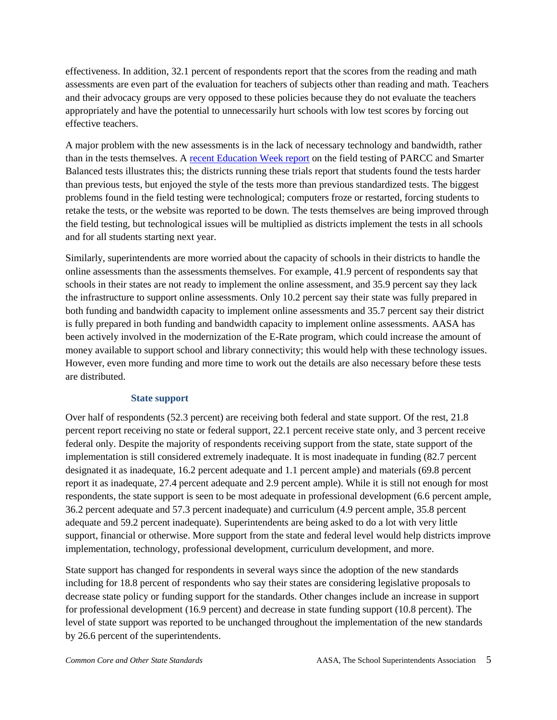effectiveness. In addition, 32.1 percent of respondents report that the scores from the reading and math assessments are even part of the evaluation for teachers of subjects other than reading and math. Teachers and their advocacy groups are very opposed to these policies because they do not evaluate the teachers appropriately and have the potential to unnecessarily hurt schools with low test scores by forcing out effective teachers.

A major problem with the new assessments is in the lack of necessary technology and bandwidth, rather than in the tests themselves. A recent Education Week report on the field testing of PARCC and Smarter Balanced tests illustrates this; the districts running these trials report that students found the tests harder than previous tests, but enjoyed the style of the tests more than previous standardized tests. The biggest problems found in the field testing were technological; computers froze or restarted, forcing students to retake the tests, or the website was reported to be down. The tests themselves are being improved through the field testing, but technological issues will be multiplied as districts implement the tests in all schools and for all students starting next year.

Similarly, superintendents are more worried about the capacity of schools in their districts to handle the online assessments than the assessments themselves. For example, 41.9 percent of respondents say that schools in their states are not ready to implement the online assessment, and 35.9 percent say they lack the infrastructure to support online assessments. Only 10.2 percent say their state was fully prepared in both funding and bandwidth capacity to implement online assessments and 35.7 percent say their district is fully prepared in both funding and bandwidth capacity to implement online assessments. AASA has been actively involved in the modernization of the E-Rate program, which could increase the amount of money available to support school and library connectivity; this would help with these technology issues. However, even more funding and more time to work out the details are also necessary before these tests are distributed.

#### **State support**

Over half of respondents (52.3 percent) are receiving both federal and state support. Of the rest, 21.8 percent report receiving no state or federal support, 22.1 percent receive state only, and 3 percent receive federal only. Despite the majority of respondents receiving support from the state, state support of the implementation is still considered extremely inadequate. It is most inadequate in funding (82.7 percent designated it as inadequate, 16.2 percent adequate and 1.1 percent ample) and materials (69.8 percent report it as inadequate, 27.4 percent adequate and 2.9 percent ample). While it is still not enough for most respondents, the state support is seen to be most adequate in professional development (6.6 percent ample, 36.2 percent adequate and 57.3 percent inadequate) and curriculum (4.9 percent ample, 35.8 percent adequate and 59.2 percent inadequate). Superintendents are being asked to do a lot with very little support, financial or otherwise. More support from the state and federal level would help districts improve implementation, technology, professional development, curriculum development, and more.

State support has changed for respondents in several ways since the adoption of the new standards including for 18.8 percent of respondents who say their states are considering legislative proposals to decrease state policy or funding support for the standards. Other changes include an increase in support for professional development (16.9 percent) and decrease in state funding support (10.8 percent). The level of state support was reported to be unchanged throughout the implementation of the new standards by 26.6 percent of the superintendents.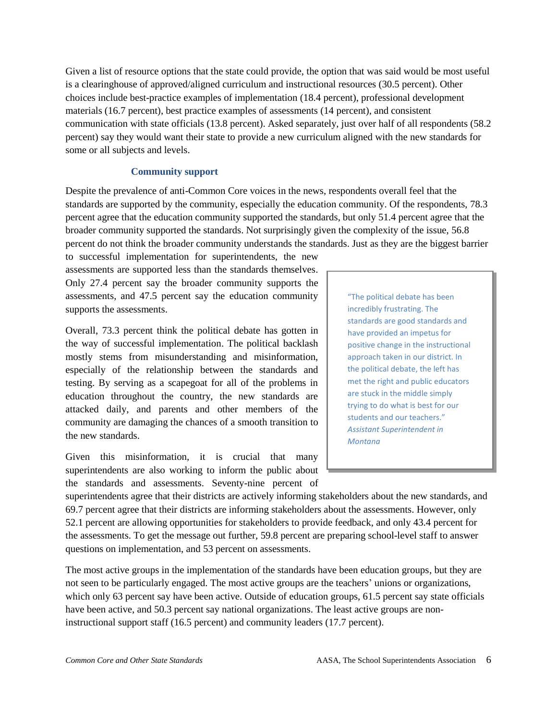Given a list of resource options that the state could provide, the option that was said would be most useful is a clearinghouse of approved/aligned curriculum and instructional resources (30.5 percent). Other choices include best-practice examples of implementation (18.4 percent), professional development materials (16.7 percent), best practice examples of assessments (14 percent), and consistent communication with state officials (13.8 percent). Asked separately, just over half of all respondents (58.2 percent) say they would want their state to provide a new curriculum aligned with the new standards for some or all subjects and levels.

#### **Community support**

Despite the prevalence of anti-Common Core voices in the news, respondents overall feel that the standards are supported by the community, especially the education community. Of the respondents, 78.3 percent agree that the education community supported the standards, but only 51.4 percent agree that the broader community supported the standards. Not surprisingly given the complexity of the issue, 56.8 percent do not think the broader community understands the standards. Just as they are the biggest barrier

to successful implementation for superintendents, the new assessments are supported less than the standards themselves. Only 27.4 percent say the broader community supports the assessments, and 47.5 percent say the education community supports the assessments.

Overall, 73.3 percent think the political debate has gotten in the way of successful implementation. The political backlash mostly stems from misunderstanding and misinformation, especially of the relationship between the standards and testing. By serving as a scapegoat for all of the problems in education throughout the country, the new standards are attacked daily, and parents and other members of the community are damaging the chances of a smooth transition to the new standards.

Given this misinformation, it is crucial that many superintendents are also working to inform the public about the standards and assessments. Seventy-nine percent of

"The political debate has been incredibly frustrating. The standards are good standards and have provided an impetus for positive change in the instructional approach taken in our district. In the political debate, the left has met the right and public educators are stuck in the middle simply trying to do what is best for our students and our teachers." *Assistant Superintendent in Montana*

superintendents agree that their districts are actively informing stakeholders about the new standards, and 69.7 percent agree that their districts are informing stakeholders about the assessments. However, only 52.1 percent are allowing opportunities for stakeholders to provide feedback, and only 43.4 percent for the assessments. To get the message out further, 59.8 percent are preparing school-level staff to answer questions on implementation, and 53 percent on assessments.

The most active groups in the implementation of the standards have been education groups, but they are not seen to be particularly engaged. The most active groups are the teachers' unions or organizations, which only 63 percent say have been active. Outside of education groups, 61.5 percent say state officials have been active, and 50.3 percent say national organizations. The least active groups are noninstructional support staff (16.5 percent) and community leaders (17.7 percent).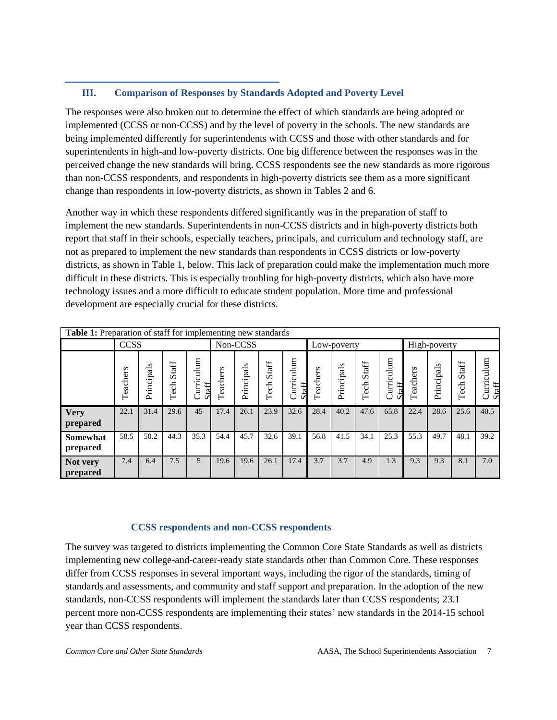# **III. Comparison of Responses by Standards Adopted and Poverty Level**

The responses were also broken out to determine the effect of which standards are being adopted or implemented (CCSS or non-CCSS) and by the level of poverty in the schools. The new standards are being implemented differently for superintendents with CCSS and those with other standards and for superintendents in high-and low-poverty districts. One big difference between the responses was in the perceived change the new standards will bring. CCSS respondents see the new standards as more rigorous than non-CCSS respondents, and respondents in high-poverty districts see them as a more significant change than respondents in low-poverty districts, as shown in Tables 2 and 6.

Another way in which these respondents differed significantly was in the preparation of staff to implement the new standards. Superintendents in non-CCSS districts and in high-poverty districts both report that staff in their schools, especially teachers, principals, and curriculum and technology staff, are not as prepared to implement the new standards than respondents in CCSS districts or low-poverty districts, as shown in Table 1, below. This lack of preparation could make the implementation much more difficult in these districts. This is especially troubling for high-poverty districts, which also have more technology issues and a more difficult to educate student population. More time and professional development are especially crucial for these districts.

| Table 1: Preparation of staff for implementing new standards |              |            |                   |                                  |              |            |               |                     |          |              |               |                     |              |            |               |                    |
|--------------------------------------------------------------|--------------|------------|-------------------|----------------------------------|--------------|------------|---------------|---------------------|----------|--------------|---------------|---------------------|--------------|------------|---------------|--------------------|
|                                                              | <b>CCSS</b>  |            |                   | Non-CCSS                         |              |            | Low-poverty   |                     |          | High-poverty |               |                     |              |            |               |                    |
|                                                              | s<br>Teacher | Principals | taff<br>Ď<br>Tech | ulum<br>ت<br>Curri<br>C<br>Staff | s<br>Teacher | Principals | Staff<br>Tech | Curriculum<br>Staff | Teachers | Principals   | Staff<br>Tech | Curriculum<br>Staff | s<br>Teacher | Principals | Staff<br>Tech | urriculum<br>Staff |
| <b>Very</b><br>prepared                                      | 22.1         | 31.4       | 29.6              | 45                               | 17.4         | 26.1       | 23.9          | 32.6                | 28.4     | 40.2         | 47.6          | 65.8                | 22.4         | 28.6       | 25.6          | 40.5               |
| <b>Somewhat</b><br>prepared                                  | 58.5         | 50.2       | 44.3              | 35.3                             | 54.4         | 45.7       | 32.6          | 39.1                | 56.8     | 41.5         | 34.1          | 25.3                | 55.3         | 49.7       | 48.1          | 39.2               |
| Not very<br>prepared                                         | 7.4          | 6.4        | 7.5               | $\overline{5}$                   | 19.6         | 19.6       | 26.1          | 17.4                | 3.7      | 3.7          | 4.9           | 1.3                 | 9.3          | 9.3        | 8.1           | 7.0                |

## **CCSS respondents and non-CCSS respondents**

The survey was targeted to districts implementing the Common Core State Standards as well as districts implementing new college-and-career-ready state standards other than Common Core. These responses differ from CCSS responses in several important ways, including the rigor of the standards, timing of standards and assessments, and community and staff support and preparation. In the adoption of the new standards, non-CCSS respondents will implement the standards later than CCSS respondents; 23.1 percent more non-CCSS respondents are implementing their states' new standards in the 2014-15 school year than CCSS respondents.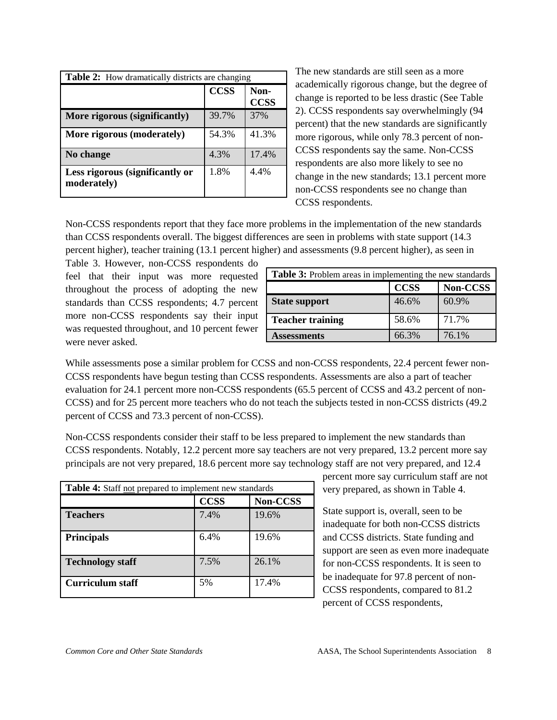| <b>Table 2:</b> How dramatically districts are changing |             |                     |  |  |  |
|---------------------------------------------------------|-------------|---------------------|--|--|--|
|                                                         | <b>CCSS</b> | Non-<br><b>CCSS</b> |  |  |  |
| More rigorous (significantly)                           | 39.7%       | 37%                 |  |  |  |
| More rigorous (moderately)                              | 54.3%       | 41.3%               |  |  |  |
| No change                                               | 4.3%        | 17.4%               |  |  |  |
| Less rigorous (significantly or<br>moderately)          | 1.8%        | 4.4%                |  |  |  |

The new standards are still seen as a more academically rigorous change, but the degree of change is reported to be less drastic (See Table 2). CCSS respondents say overwhelmingly (94 percent) that the new standards are significantly more rigorous, while only 78.3 percent of non-CCSS respondents say the same. Non-CCSS respondents are also more likely to see no change in the new standards; 13.1 percent more non-CCSS respondents see no change than CCSS respondents.

Non-CCSS respondents report that they face more problems in the implementation of the new standards than CCSS respondents overall. The biggest differences are seen in problems with state support (14.3 percent higher), teacher training (13.1 percent higher) and assessments (9.8 percent higher), as seen in

Table 3. However, non-CCSS respondents do feel that their input was more requested throughout the process of adopting the new standards than CCSS respondents; 4.7 percent more non-CCSS respondents say their input was requested throughout, and 10 percent fewer were never asked.

| Table 3: Problem areas in implementing the new standards |             |          |  |  |  |
|----------------------------------------------------------|-------------|----------|--|--|--|
|                                                          | <b>CCSS</b> | Non-CCSS |  |  |  |
| <b>State support</b>                                     | 46.6%       | 60.9%    |  |  |  |
| <b>Teacher training</b>                                  | 58.6%       | 71.7%    |  |  |  |
| Assessments                                              | 66.3%       | 76.1%    |  |  |  |

While assessments pose a similar problem for CCSS and non-CCSS respondents, 22.4 percent fewer non-CCSS respondents have begun testing than CCSS respondents. Assessments are also a part of teacher evaluation for 24.1 percent more non-CCSS respondents (65.5 percent of CCSS and 43.2 percent of non-CCSS) and for 25 percent more teachers who do not teach the subjects tested in non-CCSS districts (49.2 percent of CCSS and 73.3 percent of non-CCSS).

Non-CCSS respondents consider their staff to be less prepared to implement the new standards than CCSS respondents. Notably, 12.2 percent more say teachers are not very prepared, 13.2 percent more say principals are not very prepared, 18.6 percent more say technology staff are not very prepared, and 12.4

| <b>Table 4:</b> Staff not prepared to implement new standards |             |          |  |  |  |  |
|---------------------------------------------------------------|-------------|----------|--|--|--|--|
|                                                               | <b>CCSS</b> | Non-CCSS |  |  |  |  |
| <b>Teachers</b>                                               | 7.4%        | 19.6%    |  |  |  |  |
| <b>Principals</b>                                             | 6.4%        | 19.6%    |  |  |  |  |
| <b>Technology staff</b>                                       | 7.5%        | 26.1%    |  |  |  |  |
| Curriculum staff                                              | 5%          | 17.4%    |  |  |  |  |

percent more say curriculum staff are not very prepared, as shown in Table 4.

State support is, overall, seen to be inadequate for both non-CCSS districts and CCSS districts. State funding and support are seen as even more inadequate for non-CCSS respondents. It is seen to be inadequate for 97.8 percent of non-CCSS respondents, compared to 81.2 percent of CCSS respondents,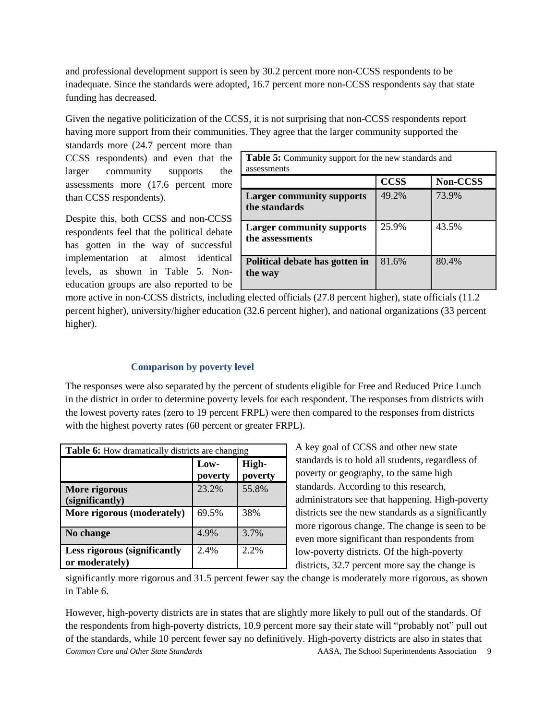and professional development support is seen by 30.2 percent more non-CCSS respondents to be inadequate. Since the standards were adopted, 16.7 percent more non-CCSS respondents say that state funding has decreased.

Given the negative politicization of the CCSS, it is not surprising that non-CCSS respondents report having more support from their communities. They agree that the larger community supported the standards more (24.7 percent more than

CCSS respondents) and even that the larger community supports the assessments more (17.6 percent more than CCSS respondents).

Despite this, both CCSS and non-CCSS respondents feel that the political debate has gotten in the way of successful implementation at almost identical levels, as shown in Table 5. Noneducation groups are also reported to be

| Table 5: Community support for the new standards and<br>assessments |             |          |  |  |  |
|---------------------------------------------------------------------|-------------|----------|--|--|--|
|                                                                     | <b>CCSS</b> | Non-CCSS |  |  |  |
| <b>Larger community supports</b><br>the standards                   | 49.2%       | 73.9%    |  |  |  |
| <b>Larger community supports</b><br>the assessments                 | 25.9%       | 43.5%    |  |  |  |
| Political debate has gotten in<br>the way                           | 81.6%       | 80.4%    |  |  |  |

more active in non-CCSS districts, including elected officials (27.8 percent higher), state officials (11.2 percent higher), university/higher education (32.6 percent higher), and national organizations (33 percent higher).

#### **Comparison by poverty level**

The responses were also separated by the percent of students eligible for Free and Reduced Price Lunch in the district in order to determine poverty levels for each respondent. The responses from districts with the lowest poverty rates (zero to 19 percent FRPL) were then compared to the responses from districts with the highest poverty rates (60 percent or greater FRPL).

| <b>Table 6:</b> How dramatically districts are changing |                 |                  |  |  |  |
|---------------------------------------------------------|-----------------|------------------|--|--|--|
|                                                         | Low-<br>poverty | High-<br>poverty |  |  |  |
| More rigorous<br>(significantly)                        | 23.2%           | 55.8%            |  |  |  |
| More rigorous (moderately)                              | 69.5%           | 38%              |  |  |  |
| No change                                               | 4.9%            | 3.7%             |  |  |  |
| <b>Less rigorous (significantly</b><br>or moderately)   | 2.4%            | 2.2%             |  |  |  |

A key goal of CCSS and other new state standards is to hold all students, regardless of poverty or geography, to the same high standards. According to this research, administrators see that happening. High-poverty districts see the new standards as a significantly more rigorous change. The change is seen to be even more significant than respondents from low-poverty districts. Of the high-poverty districts, 32.7 percent more say the change is

significantly more rigorous and 31.5 percent fewer say the change is moderately more rigorous, as shown in Table 6.

*Common Core and Other State Standards* **AASA, The School Superintendents Association** 9 However, high-poverty districts are in states that are slightly more likely to pull out of the standards. Of the respondents from high-poverty districts, 10.9 percent more say their state will "probably not" pull out of the standards, while 10 percent fewer say no definitively. High-poverty districts are also in states that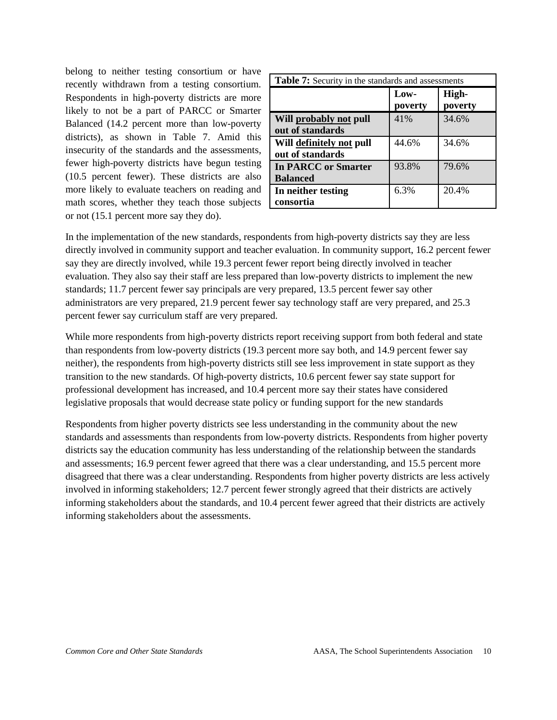belong to neither testing consortium or have recently withdrawn from a testing consortium. Respondents in high-poverty districts are more likely to not be a part of PARCC or Smarter Balanced (14.2 percent more than low-poverty districts), as shown in Table 7. Amid this insecurity of the standards and the assessments, fewer high-poverty districts have begun testing (10.5 percent fewer). These districts are also more likely to evaluate teachers on reading and math scores, whether they teach those subjects or not (15.1 percent more say they do).

| <b>Table 7:</b> Security in the standards and assessments |                 |                  |  |  |  |
|-----------------------------------------------------------|-----------------|------------------|--|--|--|
|                                                           | Low-<br>poverty | High-<br>poverty |  |  |  |
| Will probably not pull<br>out of standards                | 41%             | 34.6%            |  |  |  |
| Will definitely not pull<br>out of standards              | 44.6%           | 34.6%            |  |  |  |
| <b>In PARCC or Smarter</b><br><b>Balanced</b>             | 93.8%           | 79.6%            |  |  |  |
| In neither testing<br>consortia                           | 6.3%            | 20.4%            |  |  |  |

In the implementation of the new standards, respondents from high-poverty districts say they are less directly involved in community support and teacher evaluation. In community support, 16.2 percent fewer say they are directly involved, while 19.3 percent fewer report being directly involved in teacher evaluation. They also say their staff are less prepared than low-poverty districts to implement the new standards; 11.7 percent fewer say principals are very prepared, 13.5 percent fewer say other administrators are very prepared, 21.9 percent fewer say technology staff are very prepared, and 25.3 percent fewer say curriculum staff are very prepared.

While more respondents from high-poverty districts report receiving support from both federal and state than respondents from low-poverty districts (19.3 percent more say both, and 14.9 percent fewer say neither), the respondents from high-poverty districts still see less improvement in state support as they transition to the new standards. Of high-poverty districts, 10.6 percent fewer say state support for professional development has increased, and 10.4 percent more say their states have considered legislative proposals that would decrease state policy or funding support for the new standards

Respondents from higher poverty districts see less understanding in the community about the new standards and assessments than respondents from low-poverty districts. Respondents from higher poverty districts say the education community has less understanding of the relationship between the standards and assessments; 16.9 percent fewer agreed that there was a clear understanding, and 15.5 percent more disagreed that there was a clear understanding. Respondents from higher poverty districts are less actively involved in informing stakeholders; 12.7 percent fewer strongly agreed that their districts are actively informing stakeholders about the standards, and 10.4 percent fewer agreed that their districts are actively informing stakeholders about the assessments.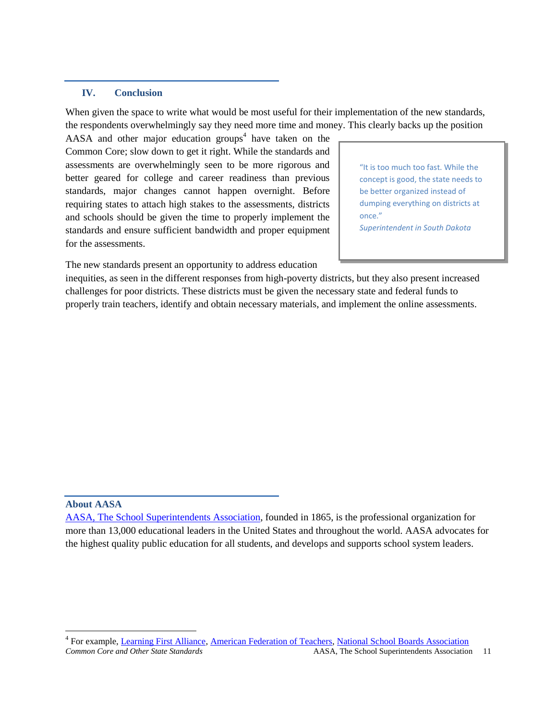#### **IV. Conclusion**

When given the space to write what would be most useful for their implementation of the new standards, the respondents overwhelmingly say they need more time and money. This clearly backs up the position

AASA and other major education groups<sup>4</sup> have taken on the Common Core; slow down to get it right. While the standards and assessments are overwhelmingly seen to be more rigorous and better geared for college and career readiness than previous standards, major changes cannot happen overnight. Before requiring states to attach high stakes to the assessments, districts and schools should be given the time to properly implement the standards and ensure sufficient bandwidth and proper equipment for the assessments.

"It is too much too fast. While the concept is good, the state needs to be better organized instead of dumping everything on districts at once." *Superintendent in South Dakota*

The new standards present an opportunity to address education

inequities, as seen in the different responses from high-poverty districts, but they also present increased challenges for poor districts. These districts must be given the necessary state and federal funds to properly train teachers, identify and obtain necessary materials, and implement the online assessments.

#### **About AASA**

 $\overline{\phantom{a}}$ 

*Common Core and Other State Standards* AASA, The School Superintendents Association 11 <sup>4</sup> For example, Learning First Alliance, American Federation of Teachers, National School Boards Association

AASA, The School Superintendents Association, founded in 1865, is the professional organization for more than 13,000 educational leaders in the United States and throughout the world. AASA advocates for the highest quality public education for all students, and develops and supports school system leaders.